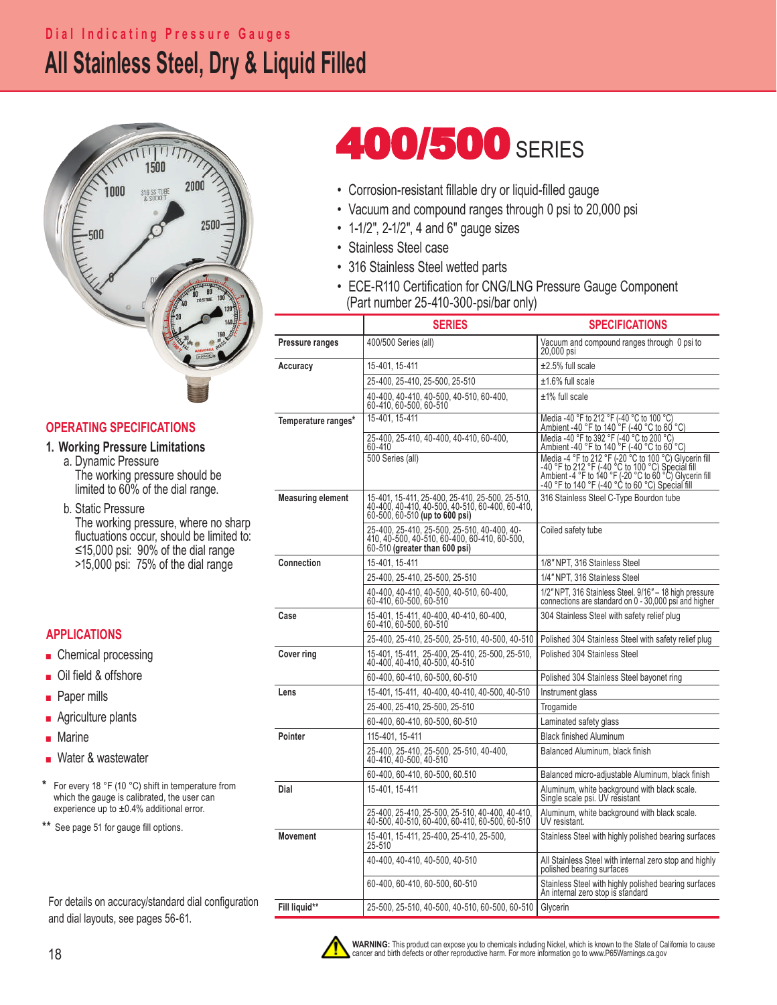## **All Stainless Steel, Dry & Liquid Filled Dial Indicating Pressure Gauges**



## **OPERATING SPECIFICATIONS**

### **1. Working Pressure Limitations**

 a. Dynamic Pressure The working pressure should be limited to 60% of the dial range.

 b. Static Pressure The working pressure, where no sharp fluctuations occur, should be limited to: ≤15,000 psi: 90% of the dial range >15,000 psi: 75% of the dial range

## **APPLICATIONS**

- Chemical processing
- Oil field & offshore
- Paper mills
- Agriculture plants
- Marine
- Water & wastewater

For every 18 °F (10 °C) shift in temperature from which the gauge is calibrated, the user can experience up to  $\pm 0.4\%$  additional error.

**\*\*** See page 51 for gauge fill options.

For details on accuracy/standard dial configuration and dial layouts, see pages 56-61.

# **400/500 SERIES**

- Corrosion-resistant fillable dry or liquid-filled gauge
- Vacuum and compound ranges through 0 psi to 20,000 psi
- 1-1/2", 2-1/2", 4 and 6" gauge sizes
- Stainless Steel case
- 316 Stainless Steel wetted parts
- ECE-R110 Certification for CNG/LNG Pressure Gauge Component (Part number 25-410-300-psi/bar only)

| 400/500 Series (all)<br>Vacuum and compound ranges through 0 psi to<br>Pressure ranges<br>20,000 psi<br>$\pm 2.5\%$ full scale<br>15-401, 15-411<br>Accuracy<br>25-400, 25-410, 25-500, 25-510<br>±1.6% full scale<br>40-400, 40-410, 40-500, 40-510, 60-400,<br>±1% full scale<br>60-410, 60-500, 60-510<br>Media -40 °F to 212 °F (-40 °C to 100 °C)<br>15-401, 15-411<br>Temperature ranges*<br>Ambient -40 °F to 140 °F (-40 °C to 60 °C)<br>Media -40 °F to 392 °F (-40 °C to 200 °C)<br>25-400, 25-410, 40-400, 40-410, 60-400,<br>Ambient -40 °F to 140 °F (-40 °C to 60 °C)<br>60-410<br>500 Series (all)<br>Media -4 °F to 212 °F (-20 °C to 100 °C) Glycerin fill<br>-40 °F to 212 °F (-40 °C to 100 °C) Special fill<br>-40 °F to 212 °F (-40 °C to 100 °C) Special fill<br>Ambient -4 °F to 140 °F (-20 °C to 60 °C) Special fill<br>-40 °F to 140<br><b>Measuring element</b><br>316 Stainless Steel C-Type Bourdon tube<br>15-401, 15-411, 25-400, 25-410, 25-500, 25-510,<br>40-400, 40-410, 40-500, 40-510, 60-400, 60-410,<br>60-500, 60-510 (up to 600 psi)<br>25-400, 25-410, 25-500, 25-510, 40-400, 40-<br>410, 40-500, 40-510, 60-400, 60-410, 60-500,<br>Coiled safety tube<br>60-510 (greater than 600 psi)<br>Connection<br>15-401, 15-411<br>1/8" NPT, 316 Stainless Steel<br>1/4" NPT, 316 Stainless Steel<br>25-400, 25-410, 25-500, 25-510<br>40-400, 40-410, 40-500, 40-510, 60-400,<br>60-410, 60-500, 60-510<br>1/2" NPT, 316 Stainless Steel. 9/16" - 18 high pressure<br>connections are standard on 0 - 30,000 psi and higher<br>Case<br>15-401, 15-411, 40-400, 40-410, 60-400,<br>304 Stainless Steel with safety relief plug<br>60-410, 60-500, 60-510<br>25-400, 25-410, 25-500, 25-510, 40-500, 40-510<br>Polished 304 Stainless Steel with safety relief plug<br>15-401, 15-411, 25-400, 25-410, 25-500, 25-510, 40-400, 40-410, 40-500, 40-510<br>Polished 304 Stainless Steel<br>Cover ring<br>60-400, 60-410, 60-500, 60-510<br>Polished 304 Stainless Steel bayonet ring<br>15-401, 15-411, 40-400, 40-410, 40-500, 40-510<br>Instrument glass<br>Lens<br>25-400, 25-410, 25-500, 25-510<br>Trogamide<br>60-400, 60-410, 60-500, 60-510<br>Laminated safety glass<br>115-401, 15-411<br><b>Black finished Aluminum</b><br>Pointer<br>25-400, 25-410, 25-500, 25-510, 40-400,<br>Balanced Aluminum, black finish<br>40-410, 40-500, 40-510<br>60-400, 60-410, 60-500, 60.510<br>Balanced micro-adjustable Aluminum, black finish<br>Dial<br>15-401, 15-411<br>Aluminum, white background with black scale.<br>Single scale psi. UV resistant<br>25-400, 25-410, 25-500, 25-510, 40-400, 40-410,<br>Aluminum, white background with black scale.<br>40-500, 40-510, 60-400, 60-410, 60-500, 60-510<br>UV resistant.<br><b>Movement</b><br>15-401, 15-411, 25-400, 25-410, 25-500,<br>Stainless Steel with highly polished bearing surfaces<br>25-510<br>40-400, 40-410, 40-500, 40-510<br>All Stainless Steel with internal zero stop and highly<br>polished bearing surfaces<br>60-400, 60-410, 60-500, 60-510<br>Stainless Steel with highly polished bearing surfaces<br>An internal zero stop is standard<br>Fill liquid**<br>25-500, 25-510, 40-500, 40-510, 60-500, 60-510<br>Glycerin | <b>SERIES</b> | <b>SPECIFICATIONS</b> |  |  |  |  |  |  |
|-----------------------------------------------------------------------------------------------------------------------------------------------------------------------------------------------------------------------------------------------------------------------------------------------------------------------------------------------------------------------------------------------------------------------------------------------------------------------------------------------------------------------------------------------------------------------------------------------------------------------------------------------------------------------------------------------------------------------------------------------------------------------------------------------------------------------------------------------------------------------------------------------------------------------------------------------------------------------------------------------------------------------------------------------------------------------------------------------------------------------------------------------------------------------------------------------------------------------------------------------------------------------------------------------------------------------------------------------------------------------------------------------------------------------------------------------------------------------------------------------------------------------------------------------------------------------------------------------------------------------------------------------------------------------------------------------------------------------------------------------------------------------------------------------------------------------------------------------------------------------------------------------------------------------------------------------------------------------------------------------------------------------------------------------------------------------------------------------------------------------------------------------------------------------------------------------------------------------------------------------------------------------------------------------------------------------------------------------------------------------------------------------------------------------------------------------------------------------------------------------------------------------------------------------------------------------------------------------------------------------------------------------------------------------------------------------------------------------------------------------------------------------------------------------------------------------------------------------------------------------------------------------------------------------------------------------------------------------------------------------------------------------------------------------------------------------------------------------------------------------------------------------------------------------------------------------------------------------------------------|---------------|-----------------------|--|--|--|--|--|--|
|                                                                                                                                                                                                                                                                                                                                                                                                                                                                                                                                                                                                                                                                                                                                                                                                                                                                                                                                                                                                                                                                                                                                                                                                                                                                                                                                                                                                                                                                                                                                                                                                                                                                                                                                                                                                                                                                                                                                                                                                                                                                                                                                                                                                                                                                                                                                                                                                                                                                                                                                                                                                                                                                                                                                                                                                                                                                                                                                                                                                                                                                                                                                                                                                                                         |               |                       |  |  |  |  |  |  |
|                                                                                                                                                                                                                                                                                                                                                                                                                                                                                                                                                                                                                                                                                                                                                                                                                                                                                                                                                                                                                                                                                                                                                                                                                                                                                                                                                                                                                                                                                                                                                                                                                                                                                                                                                                                                                                                                                                                                                                                                                                                                                                                                                                                                                                                                                                                                                                                                                                                                                                                                                                                                                                                                                                                                                                                                                                                                                                                                                                                                                                                                                                                                                                                                                                         |               |                       |  |  |  |  |  |  |
|                                                                                                                                                                                                                                                                                                                                                                                                                                                                                                                                                                                                                                                                                                                                                                                                                                                                                                                                                                                                                                                                                                                                                                                                                                                                                                                                                                                                                                                                                                                                                                                                                                                                                                                                                                                                                                                                                                                                                                                                                                                                                                                                                                                                                                                                                                                                                                                                                                                                                                                                                                                                                                                                                                                                                                                                                                                                                                                                                                                                                                                                                                                                                                                                                                         |               |                       |  |  |  |  |  |  |
|                                                                                                                                                                                                                                                                                                                                                                                                                                                                                                                                                                                                                                                                                                                                                                                                                                                                                                                                                                                                                                                                                                                                                                                                                                                                                                                                                                                                                                                                                                                                                                                                                                                                                                                                                                                                                                                                                                                                                                                                                                                                                                                                                                                                                                                                                                                                                                                                                                                                                                                                                                                                                                                                                                                                                                                                                                                                                                                                                                                                                                                                                                                                                                                                                                         |               |                       |  |  |  |  |  |  |
|                                                                                                                                                                                                                                                                                                                                                                                                                                                                                                                                                                                                                                                                                                                                                                                                                                                                                                                                                                                                                                                                                                                                                                                                                                                                                                                                                                                                                                                                                                                                                                                                                                                                                                                                                                                                                                                                                                                                                                                                                                                                                                                                                                                                                                                                                                                                                                                                                                                                                                                                                                                                                                                                                                                                                                                                                                                                                                                                                                                                                                                                                                                                                                                                                                         |               |                       |  |  |  |  |  |  |
|                                                                                                                                                                                                                                                                                                                                                                                                                                                                                                                                                                                                                                                                                                                                                                                                                                                                                                                                                                                                                                                                                                                                                                                                                                                                                                                                                                                                                                                                                                                                                                                                                                                                                                                                                                                                                                                                                                                                                                                                                                                                                                                                                                                                                                                                                                                                                                                                                                                                                                                                                                                                                                                                                                                                                                                                                                                                                                                                                                                                                                                                                                                                                                                                                                         |               |                       |  |  |  |  |  |  |
|                                                                                                                                                                                                                                                                                                                                                                                                                                                                                                                                                                                                                                                                                                                                                                                                                                                                                                                                                                                                                                                                                                                                                                                                                                                                                                                                                                                                                                                                                                                                                                                                                                                                                                                                                                                                                                                                                                                                                                                                                                                                                                                                                                                                                                                                                                                                                                                                                                                                                                                                                                                                                                                                                                                                                                                                                                                                                                                                                                                                                                                                                                                                                                                                                                         |               |                       |  |  |  |  |  |  |
|                                                                                                                                                                                                                                                                                                                                                                                                                                                                                                                                                                                                                                                                                                                                                                                                                                                                                                                                                                                                                                                                                                                                                                                                                                                                                                                                                                                                                                                                                                                                                                                                                                                                                                                                                                                                                                                                                                                                                                                                                                                                                                                                                                                                                                                                                                                                                                                                                                                                                                                                                                                                                                                                                                                                                                                                                                                                                                                                                                                                                                                                                                                                                                                                                                         |               |                       |  |  |  |  |  |  |
|                                                                                                                                                                                                                                                                                                                                                                                                                                                                                                                                                                                                                                                                                                                                                                                                                                                                                                                                                                                                                                                                                                                                                                                                                                                                                                                                                                                                                                                                                                                                                                                                                                                                                                                                                                                                                                                                                                                                                                                                                                                                                                                                                                                                                                                                                                                                                                                                                                                                                                                                                                                                                                                                                                                                                                                                                                                                                                                                                                                                                                                                                                                                                                                                                                         |               |                       |  |  |  |  |  |  |
|                                                                                                                                                                                                                                                                                                                                                                                                                                                                                                                                                                                                                                                                                                                                                                                                                                                                                                                                                                                                                                                                                                                                                                                                                                                                                                                                                                                                                                                                                                                                                                                                                                                                                                                                                                                                                                                                                                                                                                                                                                                                                                                                                                                                                                                                                                                                                                                                                                                                                                                                                                                                                                                                                                                                                                                                                                                                                                                                                                                                                                                                                                                                                                                                                                         |               |                       |  |  |  |  |  |  |
|                                                                                                                                                                                                                                                                                                                                                                                                                                                                                                                                                                                                                                                                                                                                                                                                                                                                                                                                                                                                                                                                                                                                                                                                                                                                                                                                                                                                                                                                                                                                                                                                                                                                                                                                                                                                                                                                                                                                                                                                                                                                                                                                                                                                                                                                                                                                                                                                                                                                                                                                                                                                                                                                                                                                                                                                                                                                                                                                                                                                                                                                                                                                                                                                                                         |               |                       |  |  |  |  |  |  |
|                                                                                                                                                                                                                                                                                                                                                                                                                                                                                                                                                                                                                                                                                                                                                                                                                                                                                                                                                                                                                                                                                                                                                                                                                                                                                                                                                                                                                                                                                                                                                                                                                                                                                                                                                                                                                                                                                                                                                                                                                                                                                                                                                                                                                                                                                                                                                                                                                                                                                                                                                                                                                                                                                                                                                                                                                                                                                                                                                                                                                                                                                                                                                                                                                                         |               |                       |  |  |  |  |  |  |
|                                                                                                                                                                                                                                                                                                                                                                                                                                                                                                                                                                                                                                                                                                                                                                                                                                                                                                                                                                                                                                                                                                                                                                                                                                                                                                                                                                                                                                                                                                                                                                                                                                                                                                                                                                                                                                                                                                                                                                                                                                                                                                                                                                                                                                                                                                                                                                                                                                                                                                                                                                                                                                                                                                                                                                                                                                                                                                                                                                                                                                                                                                                                                                                                                                         |               |                       |  |  |  |  |  |  |
|                                                                                                                                                                                                                                                                                                                                                                                                                                                                                                                                                                                                                                                                                                                                                                                                                                                                                                                                                                                                                                                                                                                                                                                                                                                                                                                                                                                                                                                                                                                                                                                                                                                                                                                                                                                                                                                                                                                                                                                                                                                                                                                                                                                                                                                                                                                                                                                                                                                                                                                                                                                                                                                                                                                                                                                                                                                                                                                                                                                                                                                                                                                                                                                                                                         |               |                       |  |  |  |  |  |  |
|                                                                                                                                                                                                                                                                                                                                                                                                                                                                                                                                                                                                                                                                                                                                                                                                                                                                                                                                                                                                                                                                                                                                                                                                                                                                                                                                                                                                                                                                                                                                                                                                                                                                                                                                                                                                                                                                                                                                                                                                                                                                                                                                                                                                                                                                                                                                                                                                                                                                                                                                                                                                                                                                                                                                                                                                                                                                                                                                                                                                                                                                                                                                                                                                                                         |               |                       |  |  |  |  |  |  |
|                                                                                                                                                                                                                                                                                                                                                                                                                                                                                                                                                                                                                                                                                                                                                                                                                                                                                                                                                                                                                                                                                                                                                                                                                                                                                                                                                                                                                                                                                                                                                                                                                                                                                                                                                                                                                                                                                                                                                                                                                                                                                                                                                                                                                                                                                                                                                                                                                                                                                                                                                                                                                                                                                                                                                                                                                                                                                                                                                                                                                                                                                                                                                                                                                                         |               |                       |  |  |  |  |  |  |
|                                                                                                                                                                                                                                                                                                                                                                                                                                                                                                                                                                                                                                                                                                                                                                                                                                                                                                                                                                                                                                                                                                                                                                                                                                                                                                                                                                                                                                                                                                                                                                                                                                                                                                                                                                                                                                                                                                                                                                                                                                                                                                                                                                                                                                                                                                                                                                                                                                                                                                                                                                                                                                                                                                                                                                                                                                                                                                                                                                                                                                                                                                                                                                                                                                         |               |                       |  |  |  |  |  |  |
|                                                                                                                                                                                                                                                                                                                                                                                                                                                                                                                                                                                                                                                                                                                                                                                                                                                                                                                                                                                                                                                                                                                                                                                                                                                                                                                                                                                                                                                                                                                                                                                                                                                                                                                                                                                                                                                                                                                                                                                                                                                                                                                                                                                                                                                                                                                                                                                                                                                                                                                                                                                                                                                                                                                                                                                                                                                                                                                                                                                                                                                                                                                                                                                                                                         |               |                       |  |  |  |  |  |  |
|                                                                                                                                                                                                                                                                                                                                                                                                                                                                                                                                                                                                                                                                                                                                                                                                                                                                                                                                                                                                                                                                                                                                                                                                                                                                                                                                                                                                                                                                                                                                                                                                                                                                                                                                                                                                                                                                                                                                                                                                                                                                                                                                                                                                                                                                                                                                                                                                                                                                                                                                                                                                                                                                                                                                                                                                                                                                                                                                                                                                                                                                                                                                                                                                                                         |               |                       |  |  |  |  |  |  |
|                                                                                                                                                                                                                                                                                                                                                                                                                                                                                                                                                                                                                                                                                                                                                                                                                                                                                                                                                                                                                                                                                                                                                                                                                                                                                                                                                                                                                                                                                                                                                                                                                                                                                                                                                                                                                                                                                                                                                                                                                                                                                                                                                                                                                                                                                                                                                                                                                                                                                                                                                                                                                                                                                                                                                                                                                                                                                                                                                                                                                                                                                                                                                                                                                                         |               |                       |  |  |  |  |  |  |
|                                                                                                                                                                                                                                                                                                                                                                                                                                                                                                                                                                                                                                                                                                                                                                                                                                                                                                                                                                                                                                                                                                                                                                                                                                                                                                                                                                                                                                                                                                                                                                                                                                                                                                                                                                                                                                                                                                                                                                                                                                                                                                                                                                                                                                                                                                                                                                                                                                                                                                                                                                                                                                                                                                                                                                                                                                                                                                                                                                                                                                                                                                                                                                                                                                         |               |                       |  |  |  |  |  |  |
|                                                                                                                                                                                                                                                                                                                                                                                                                                                                                                                                                                                                                                                                                                                                                                                                                                                                                                                                                                                                                                                                                                                                                                                                                                                                                                                                                                                                                                                                                                                                                                                                                                                                                                                                                                                                                                                                                                                                                                                                                                                                                                                                                                                                                                                                                                                                                                                                                                                                                                                                                                                                                                                                                                                                                                                                                                                                                                                                                                                                                                                                                                                                                                                                                                         |               |                       |  |  |  |  |  |  |
|                                                                                                                                                                                                                                                                                                                                                                                                                                                                                                                                                                                                                                                                                                                                                                                                                                                                                                                                                                                                                                                                                                                                                                                                                                                                                                                                                                                                                                                                                                                                                                                                                                                                                                                                                                                                                                                                                                                                                                                                                                                                                                                                                                                                                                                                                                                                                                                                                                                                                                                                                                                                                                                                                                                                                                                                                                                                                                                                                                                                                                                                                                                                                                                                                                         |               |                       |  |  |  |  |  |  |
|                                                                                                                                                                                                                                                                                                                                                                                                                                                                                                                                                                                                                                                                                                                                                                                                                                                                                                                                                                                                                                                                                                                                                                                                                                                                                                                                                                                                                                                                                                                                                                                                                                                                                                                                                                                                                                                                                                                                                                                                                                                                                                                                                                                                                                                                                                                                                                                                                                                                                                                                                                                                                                                                                                                                                                                                                                                                                                                                                                                                                                                                                                                                                                                                                                         |               |                       |  |  |  |  |  |  |
|                                                                                                                                                                                                                                                                                                                                                                                                                                                                                                                                                                                                                                                                                                                                                                                                                                                                                                                                                                                                                                                                                                                                                                                                                                                                                                                                                                                                                                                                                                                                                                                                                                                                                                                                                                                                                                                                                                                                                                                                                                                                                                                                                                                                                                                                                                                                                                                                                                                                                                                                                                                                                                                                                                                                                                                                                                                                                                                                                                                                                                                                                                                                                                                                                                         |               |                       |  |  |  |  |  |  |
|                                                                                                                                                                                                                                                                                                                                                                                                                                                                                                                                                                                                                                                                                                                                                                                                                                                                                                                                                                                                                                                                                                                                                                                                                                                                                                                                                                                                                                                                                                                                                                                                                                                                                                                                                                                                                                                                                                                                                                                                                                                                                                                                                                                                                                                                                                                                                                                                                                                                                                                                                                                                                                                                                                                                                                                                                                                                                                                                                                                                                                                                                                                                                                                                                                         |               |                       |  |  |  |  |  |  |
|                                                                                                                                                                                                                                                                                                                                                                                                                                                                                                                                                                                                                                                                                                                                                                                                                                                                                                                                                                                                                                                                                                                                                                                                                                                                                                                                                                                                                                                                                                                                                                                                                                                                                                                                                                                                                                                                                                                                                                                                                                                                                                                                                                                                                                                                                                                                                                                                                                                                                                                                                                                                                                                                                                                                                                                                                                                                                                                                                                                                                                                                                                                                                                                                                                         |               |                       |  |  |  |  |  |  |
|                                                                                                                                                                                                                                                                                                                                                                                                                                                                                                                                                                                                                                                                                                                                                                                                                                                                                                                                                                                                                                                                                                                                                                                                                                                                                                                                                                                                                                                                                                                                                                                                                                                                                                                                                                                                                                                                                                                                                                                                                                                                                                                                                                                                                                                                                                                                                                                                                                                                                                                                                                                                                                                                                                                                                                                                                                                                                                                                                                                                                                                                                                                                                                                                                                         |               |                       |  |  |  |  |  |  |



WARNING: This product can expose you to chemicals including Nickel, which is known to the State of California to cause<br>cancer and birth defects or other reproductive harm. For more information go to www.P65Warnings.ca.gov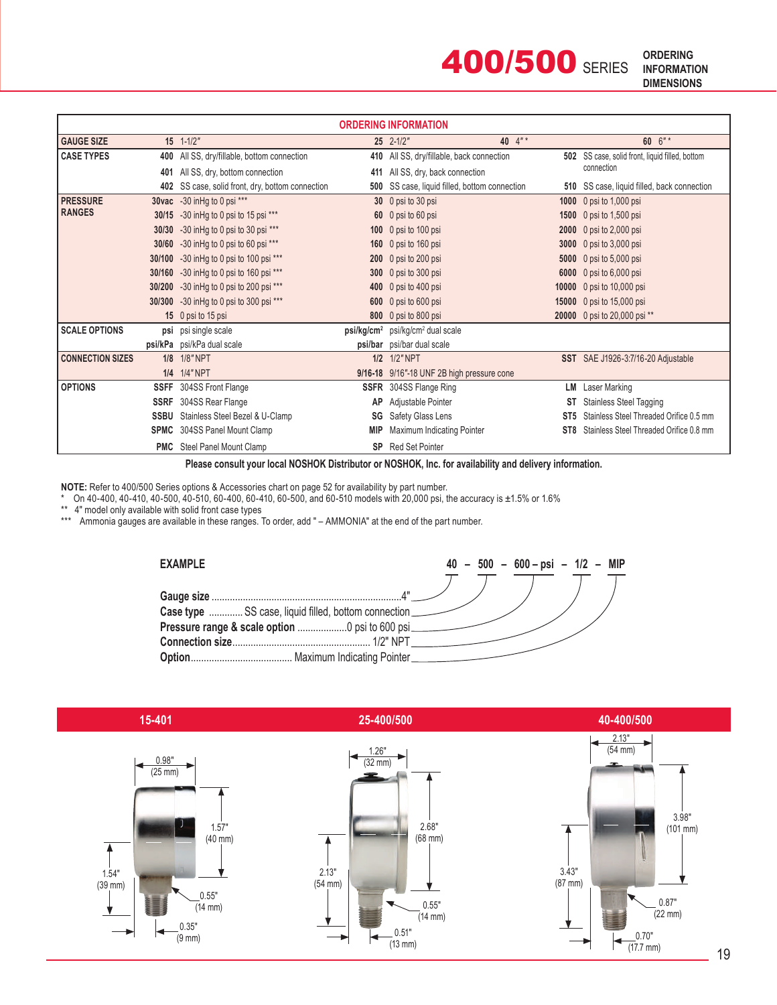

| <b>ORDERING INFORMATION</b> |             |                                              |                       |                                            |           |                                                 |  |  |
|-----------------------------|-------------|----------------------------------------------|-----------------------|--------------------------------------------|-----------|-------------------------------------------------|--|--|
| <b>GAUGE SIZE</b>           |             | $15$ $1-1/2$ "                               |                       | $25$ $2-1/2$ "                             | 40 $4"$ * | 60 6"*                                          |  |  |
| <b>CASE TYPES</b>           |             | 400 All SS, dry/fillable, bottom connection  | 410                   | All SS, dry/fillable, back connection      |           | 502 SS case, solid front, liquid filled, bottom |  |  |
|                             | 401         | All SS, dry, bottom connection               | 411                   | All SS, dry, back connection               |           | connection                                      |  |  |
|                             | 402         | SS case, solid front, dry, bottom connection |                       | SS case, liquid filled, bottom connection  |           | 510 SS case, liquid filled, back connection     |  |  |
| <b>PRESSURE</b>             |             | 30vac -30 in Hg to 0 psi ***                 |                       | 30 0 psi to 30 psi                         |           | 1000 0 psi to 1,000 psi                         |  |  |
| <b>RANGES</b>               |             | 30/15 -30 in Hg to 0 psi to 15 psi ***       |                       | 60 0 psi to 60 psi                         | 1500      | 0 psi to 1,500 psi                              |  |  |
|                             | 30/30       | -30 in Hg to 0 psi to 30 psi ***             |                       | 100 0 psi to 100 psi                       |           | 2000 0 psi to 2,000 psi                         |  |  |
|                             | 30/60       | -30 in Hg to 0 psi to 60 psi ***             |                       | 160 0 psi to 160 psi                       | 3000      | 0 psi to $3,000$ psi                            |  |  |
|                             | 30/100      | -30 in Hg to 0 psi to 100 psi ***            |                       | 200 0 psi to 200 psi                       |           | <b>5000</b> 0 psi to 5,000 psi                  |  |  |
|                             | 30/160      | -30 in Hg to 0 psi to 160 psi ***            | 300 <sub>2</sub>      | 0 psi to 300 psi                           |           | 6000 0 psi to 6,000 psi                         |  |  |
|                             | 30/200      | -30 in Hg to 0 psi to 200 psi ***            |                       | 400 0 psi to 400 psi                       |           | 10000 0 psi to 10,000 psi                       |  |  |
|                             |             | 30/300 -30 in Hg to 0 psi to 300 psi ***     | 600                   | 0 psi to 600 psi                           |           | 15000 0 psi to 15,000 psi                       |  |  |
|                             |             | 15 0 psi to 15 psi                           | 800                   | 0 psi to 800 psi                           |           | 20000 0 psi to 20,000 psi **                    |  |  |
| <b>SCALE OPTIONS</b>        |             | psi psi single scale                         | psi/g/cm <sup>2</sup> | psi/kg/cm <sup>2</sup> dual scale          |           |                                                 |  |  |
|                             |             | psi/kPa psi/kPa dual scale                   |                       | psi/bar psi/bar dual scale                 |           |                                                 |  |  |
| <b>CONNECTION SIZES</b>     |             | 1/8 1/8" NPT                                 |                       | 1/2 1/2" NPT                               |           | SST SAE J1926-3:7/16-20 Adjustable              |  |  |
|                             |             | 1/4 1/4" NPT                                 |                       | 9/16-18 9/16"-18 UNF 2B high pressure cone |           |                                                 |  |  |
| <b>OPTIONS</b>              |             | SSFF 304SS Front Flange                      | <b>SSFR</b>           | 304SS Flange Ring                          | LM        | Laser Marking                                   |  |  |
|                             | <b>SSRF</b> | 304SS Rear Flange                            | AP                    | Adjustable Pointer                         |           | Stainless Steel Tagging                         |  |  |
|                             |             | <b>SSBU</b> Stainless Steel Bezel & U-Clamp  |                       | Safety Glass Lens<br>ST <sub>5</sub>       |           | Stainless Steel Threaded Orifice 0.5 mm         |  |  |
|                             |             | <b>SPMC</b> 304SS Panel Mount Clamp          | <b>MIP</b>            | Maximum Indicating Pointer                 |           | Stainless Steel Threaded Orifice 0.8 mm         |  |  |
|                             |             | <b>PMC</b> Steel Panel Mount Clamp           | <b>SP</b>             | <b>Red Set Pointer</b>                     |           |                                                 |  |  |

**Please consult your local NOSHOK Distributor or NOSHOK, Inc. for availability and delivery information.**

**NOTE:** Refer to 400/500 Series options & Accessories chart on page 52 for availability by part number.

\* On 40-400, 40-410, 40-500, 40-510, 60-400, 60-410, 60-500, and 60-510 models with 20,000 psi, the accuracy is ±1.5% or 1.6%

\*\* 4" model only available with solid front case types

\*\*\*Ammonia gauges are available in these ranges. To order, add " – AMMONIA" at the end of the part number.

| <b>EXAMPLE</b>                                       |  |  | $40 - 500 - 600 - psi - 1/2 - MIP$ |  |  |
|------------------------------------------------------|--|--|------------------------------------|--|--|
|                                                      |  |  |                                    |  |  |
| Case type  SS case, liquid filled, bottom connection |  |  |                                    |  |  |
| Pressure range & scale option  0 psi to 600 psi_     |  |  |                                    |  |  |
|                                                      |  |  |                                    |  |  |
|                                                      |  |  |                                    |  |  |

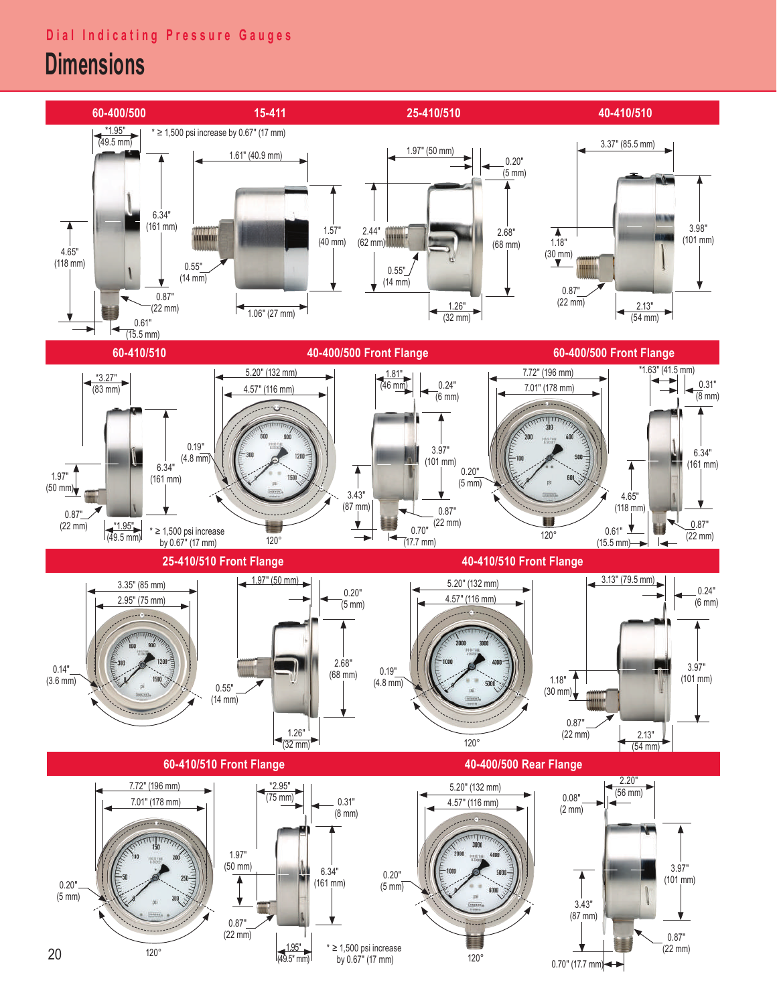## **Dial Indicating Pressure Gauges**

## **Dimensions**